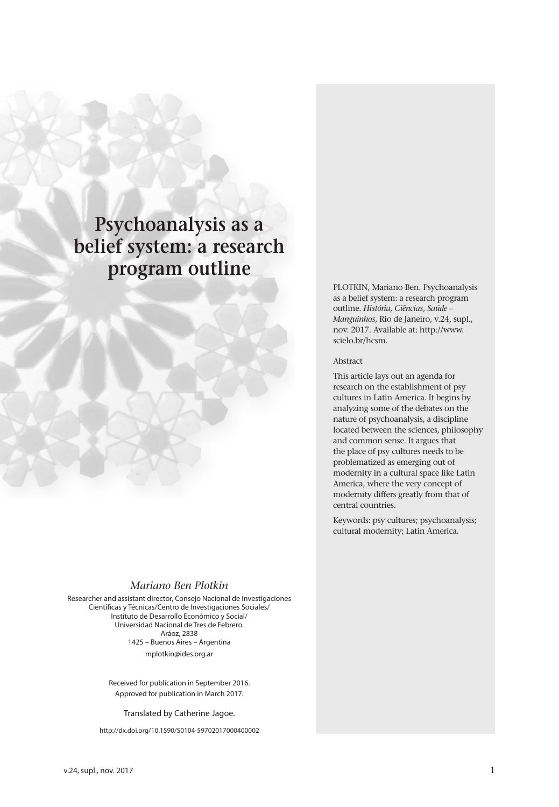# **Psychoanalysis as a belief system: a research program outline**

# *Mariano Ben Plotkin*

Researcher and assistant director, Consejo Nacional de Investigaciones Científicas y Técnicas/Centro de Investigaciones Sociales/ Instituto de Desarrollo Económico y Social/ Universidad Nacional de Tres de Febrero. Aráoz, 2838 1425 – Buenos Aires – Argentina mplotkin@ides.org.ar

> Received for publication in September 2016. Approved for publication in March 2017.

> > Translated by Catherine Jagoe.

http://dx.doi.org/10.1590/S0104-59702017000400002

PLOTKIN, Mariano Ben. Psychoanalysis as a belief system: a research program outline. *História, Ciências, Saúde – Manguinhos*, Rio de Janeiro, v.24, supl., nov. 2017. Available at: http://www. scielo.br/hcsm.

#### Abstract

This article lays out an agenda for research on the establishment of psy cultures in Latin America. It begins by analyzing some of the debates on the nature of psychoanalysis, a discipline located between the sciences, philosophy and common sense. It argues that the place of psy cultures needs to be problematized as emerging out of modernity in a cultural space like Latin America, where the very concept of modernity differs greatly from that of central countries.

Keywords: psy cultures; psychoanalysis; cultural modernity; Latin America.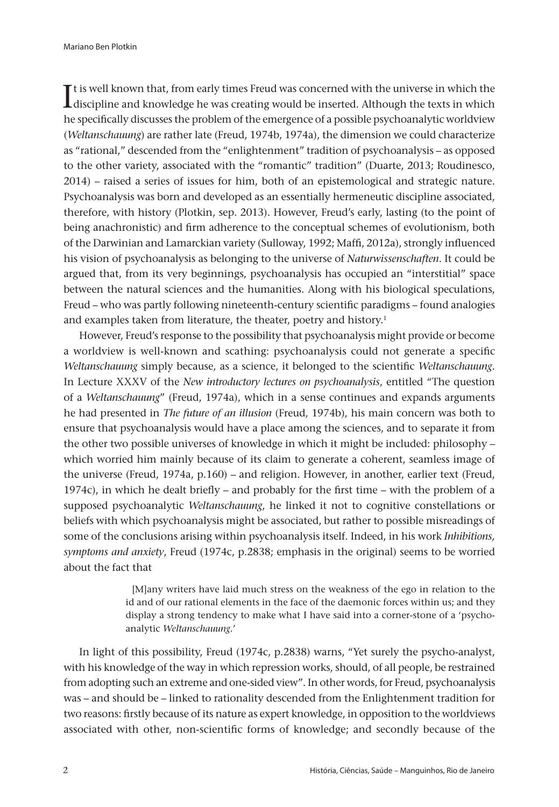It is well known that, from early times Freud was concerned with the universe in which the discipline and knowledge he was creating would be inserted. Although the texts in which It is well known that, from early times Freud was concerned with the universe in which the he specifically discusses the problem of the emergence of a possible psychoanalytic worldview (*Weltanschauung*) are rather late (Freud, 1974b, 1974a), the dimension we could characterize as "rational," descended from the "enlightenment" tradition of psychoanalysis – as opposed to the other variety, associated with the "romantic" tradition" (Duarte, 2013; Roudinesco, 2014) – raised a series of issues for him, both of an epistemological and strategic nature. Psychoanalysis was born and developed as an essentially hermeneutic discipline associated, therefore, with history (Plotkin, sep. 2013). However, Freud's early, lasting (to the point of being anachronistic) and firm adherence to the conceptual schemes of evolutionism, both of the Darwinian and Lamarckian variety (Sulloway, 1992; Maffi, 2012a), strongly influenced his vision of psychoanalysis as belonging to the universe of *Naturwissenschaften*. It could be argued that, from its very beginnings, psychoanalysis has occupied an "interstitial" space between the natural sciences and the humanities. Along with his biological speculations, Freud – who was partly following nineteenth-century scientific paradigms – found analogies and examples taken from literature, the theater, poetry and history.<sup>1</sup>

However, Freud's response to the possibility that psychoanalysis might provide or become a worldview is well-known and scathing: psychoanalysis could not generate a specific *Weltanschauung* simply because, as a science, it belonged to the scientific *Weltanschauung.* In Lecture XXXV of the *New introductory lectures on psychoanalysis*, entitled "The question of a *Weltanschauung*" (Freud, 1974a), which in a sense continues and expands arguments he had presented in *The future of an illusion* (Freud, 1974b), his main concern was both to ensure that psychoanalysis would have a place among the sciences, and to separate it from the other two possible universes of knowledge in which it might be included: philosophy – which worried him mainly because of its claim to generate a coherent, seamless image of the universe (Freud, 1974a, p.160) – and religion. However, in another, earlier text (Freud, 1974c), in which he dealt briefly – and probably for the first time – with the problem of a supposed psychoanalytic *Weltanschauung*, he linked it not to cognitive constellations or beliefs with which psychoanalysis might be associated, but rather to possible misreadings of some of the conclusions arising within psychoanalysis itself. Indeed, in his work *Inhibitions, symptoms and anxiety*, Freud (1974c, p.2838; emphasis in the original) seems to be worried about the fact that

> [M]any writers have laid much stress on the weakness of the ego in relation to the id and of our rational elements in the face of the daemonic forces within us; and they display a strong tendency to make what I have said into a corner-stone of a 'psychoanalytic *Weltanschauung.*'

In light of this possibility, Freud (1974c, p.2838) warns, "Yet surely the psycho-analyst, with his knowledge of the way in which repression works, should, of all people, be restrained from adopting such an extreme and one-sided view". In other words, for Freud, psychoanalysis was – and should be – linked to rationality descended from the Enlightenment tradition for two reasons: firstly because of its nature as expert knowledge, in opposition to the worldviews associated with other, non-scientific forms of knowledge; and secondly because of the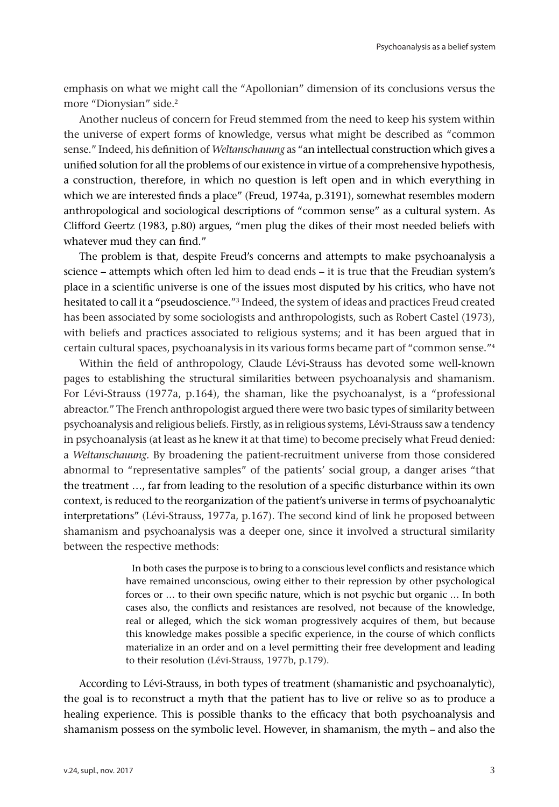emphasis on what we might call the "Apollonian" dimension of its conclusions versus the more "Dionysian" side.2

Another nucleus of concern for Freud stemmed from the need to keep his system within the universe of expert forms of knowledge, versus what might be described as "common sense." Indeed, his definition of *Weltanschauung* as "an intellectual construction which gives a unified solution for all the problems of our existence in virtue of a comprehensive hypothesis, a construction, therefore, in which no question is left open and in which everything in which we are interested finds a place" (Freud, 1974a, p.3191), somewhat resembles modern anthropological and sociological descriptions of "common sense" as a cultural system. As Clifford Geertz (1983, p.80) argues, "men plug the dikes of their most needed beliefs with whatever mud they can find."

The problem is that, despite Freud's concerns and attempts to make psychoanalysis a science – attempts which often led him to dead ends – it is true that the Freudian system's place in a scientific universe is one of the issues most disputed by his critics, who have not hesitated to call it a "pseudoscience."3 Indeed, the system of ideas and practices Freud created has been associated by some sociologists and anthropologists, such as Robert Castel (1973), with beliefs and practices associated to religious systems; and it has been argued that in certain cultural spaces, psychoanalysis in its various forms became part of "common sense."4

Within the field of anthropology, Claude Lévi-Strauss has devoted some well-known pages to establishing the structural similarities between psychoanalysis and shamanism. For Lévi-Strauss (1977a, p.164), the shaman, like the psychoanalyst, is a "professional abreactor." The French anthropologist argued there were two basic types of similarity between psychoanalysis and religious beliefs. Firstly, as in religious systems, Lévi-Strauss saw a tendency in psychoanalysis (at least as he knew it at that time) to become precisely what Freud denied: a *Weltanschauung.* By broadening the patient-recruitment universe from those considered abnormal to "representative samples" of the patients' social group, a danger arises "that the treatment …, far from leading to the resolution of a specific disturbance within its own context, is reduced to the reorganization of the patient's universe in terms of psychoanalytic interpretations" (Lévi-Strauss, 1977a, p.167). The second kind of link he proposed between shamanism and psychoanalysis was a deeper one, since it involved a structural similarity between the respective methods:

> In both cases the purpose is to bring to a conscious level conflicts and resistance which have remained unconscious, owing either to their repression by other psychological forces or … to their own specific nature, which is not psychic but organic … In both cases also, the conflicts and resistances are resolved, not because of the knowledge, real or alleged, which the sick woman progressively acquires of them, but because this knowledge makes possible a specific experience, in the course of which conflicts materialize in an order and on a level permitting their free development and leading to their resolution (Lévi-Strauss, 1977b, p.179).

According to Lévi-Strauss, in both types of treatment (shamanistic and psychoanalytic), the goal is to reconstruct a myth that the patient has to live or relive so as to produce a healing experience. This is possible thanks to the efficacy that both psychoanalysis and shamanism possess on the symbolic level. However, in shamanism, the myth – and also the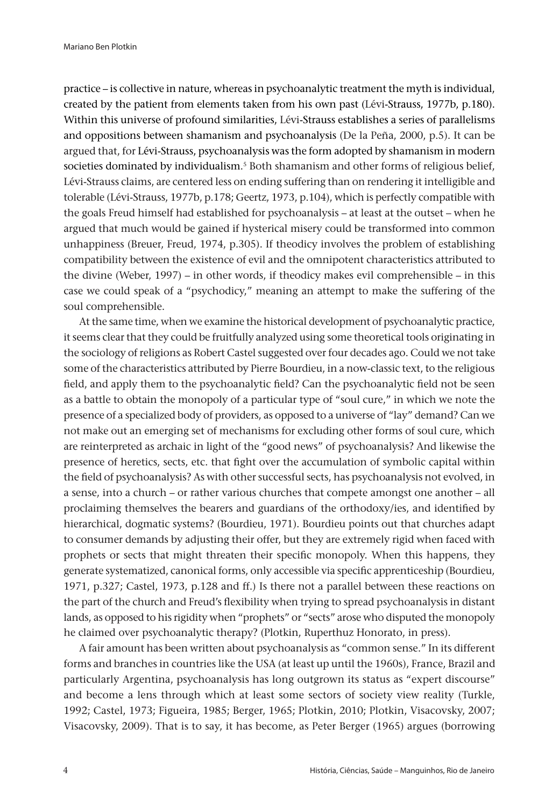practice – is collective in nature, whereas in psychoanalytic treatment the myth is individual, created by the patient from elements taken from his own past (Lévi-Strauss, 1977b, p.180). Within this universe of profound similarities, Lévi-Strauss establishes a series of parallelisms and oppositions between shamanism and psychoanalysis (De la Peña, 2000, p.5). It can be argued that, for Lévi-Strauss, psychoanalysis was the form adopted by shamanism in modern societies dominated by individualism.<sup>5</sup> Both shamanism and other forms of religious belief, Lévi-Strauss claims, are centered less on ending suffering than on rendering it intelligible and tolerable (Lévi-Strauss, 1977b, p.178; Geertz, 1973, p.104), which is perfectly compatible with the goals Freud himself had established for psychoanalysis – at least at the outset – when he argued that much would be gained if hysterical misery could be transformed into common unhappiness (Breuer, Freud, 1974, p.305). If theodicy involves the problem of establishing compatibility between the existence of evil and the omnipotent characteristics attributed to the divine (Weber, 1997) – in other words, if theodicy makes evil comprehensible – in this case we could speak of a "psychodicy," meaning an attempt to make the suffering of the soul comprehensible.

At the same time, when we examine the historical development of psychoanalytic practice, it seems clear that they could be fruitfully analyzed using some theoretical tools originating in the sociology of religions as Robert Castel suggested over four decades ago. Could we not take some of the characteristics attributed by Pierre Bourdieu, in a now-classic text, to the religious field, and apply them to the psychoanalytic field? Can the psychoanalytic field not be seen as a battle to obtain the monopoly of a particular type of "soul cure," in which we note the presence of a specialized body of providers, as opposed to a universe of "lay" demand? Can we not make out an emerging set of mechanisms for excluding other forms of soul cure, which are reinterpreted as archaic in light of the "good news" of psychoanalysis? And likewise the presence of heretics, sects, etc. that fight over the accumulation of symbolic capital within the field of psychoanalysis? As with other successful sects, has psychoanalysis not evolved, in a sense, into a church – or rather various churches that compete amongst one another – all proclaiming themselves the bearers and guardians of the orthodoxy/ies, and identified by hierarchical, dogmatic systems? (Bourdieu, 1971). Bourdieu points out that churches adapt to consumer demands by adjusting their offer, but they are extremely rigid when faced with prophets or sects that might threaten their specific monopoly. When this happens, they generate systematized, canonical forms, only accessible via specific apprenticeship (Bourdieu, 1971, p.327; Castel, 1973, p.128 and ff.) Is there not a parallel between these reactions on the part of the church and Freud's flexibility when trying to spread psychoanalysis in distant lands, as opposed to his rigidity when "prophets" or "sects" arose who disputed the monopoly he claimed over psychoanalytic therapy? (Plotkin, Ruperthuz Honorato, in press).

A fair amount has been written about psychoanalysis as "common sense." In its different forms and branches in countries like the USA (at least up until the 1960s), France, Brazil and particularly Argentina, psychoanalysis has long outgrown its status as "expert discourse" and become a lens through which at least some sectors of society view reality (Turkle, 1992; Castel, 1973; Figueira, 1985; Berger, 1965; Plotkin, 2010; Plotkin, Visacovsky, 2007; Visacovsky, 2009). That is to say, it has become, as Peter Berger (1965) argues (borrowing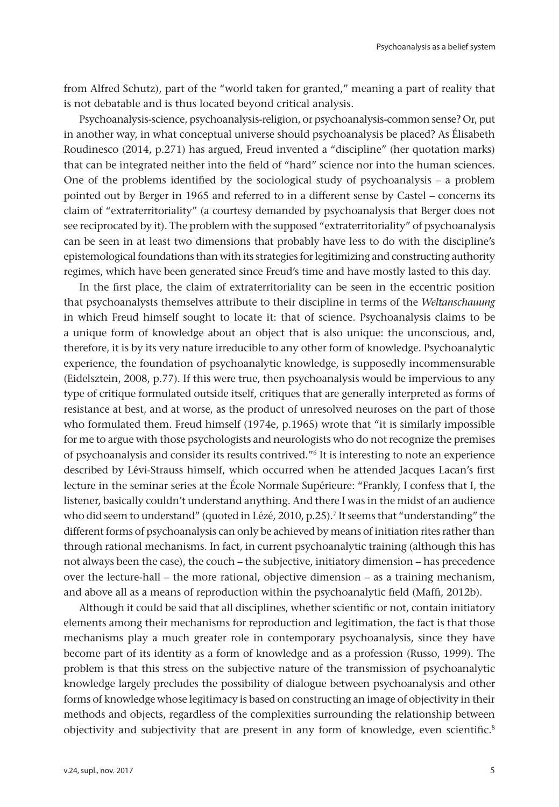from Alfred Schutz), part of the "world taken for granted," meaning a part of reality that is not debatable and is thus located beyond critical analysis.

Psychoanalysis-science, psychoanalysis-religion, or psychoanalysis-common sense? Or, put in another way, in what conceptual universe should psychoanalysis be placed? As Élisabeth Roudinesco (2014, p.271) has argued, Freud invented a "discipline" (her quotation marks) that can be integrated neither into the field of "hard" science nor into the human sciences. One of the problems identified by the sociological study of psychoanalysis – a problem pointed out by Berger in 1965 and referred to in a different sense by Castel – concerns its claim of "extraterritoriality" (a courtesy demanded by psychoanalysis that Berger does not see reciprocated by it). The problem with the supposed "extraterritoriality" of psychoanalysis can be seen in at least two dimensions that probably have less to do with the discipline's epistemological foundations than with its strategies for legitimizing and constructing authority regimes, which have been generated since Freud's time and have mostly lasted to this day.

In the first place, the claim of extraterritoriality can be seen in the eccentric position that psychoanalysts themselves attribute to their discipline in terms of the *Weltanschauung* in which Freud himself sought to locate it: that of science. Psychoanalysis claims to be a unique form of knowledge about an object that is also unique: the unconscious, and, therefore, it is by its very nature irreducible to any other form of knowledge. Psychoanalytic experience, the foundation of psychoanalytic knowledge, is supposedly incommensurable (Eidelsztein, 2008, p.77). If this were true, then psychoanalysis would be impervious to any type of critique formulated outside itself, critiques that are generally interpreted as forms of resistance at best, and at worse, as the product of unresolved neuroses on the part of those who formulated them. Freud himself (1974e, p.1965) wrote that "it is similarly impossible for me to argue with those psychologists and neurologists who do not recognize the premises of psychoanalysis and consider its results contrived."6 It is interesting to note an experience described by Lévi-Strauss himself, which occurred when he attended Jacques Lacan's first lecture in the seminar series at the École Normale Supérieure: "Frankly, I confess that I, the listener, basically couldn't understand anything. And there I was in the midst of an audience who did seem to understand" (quoted in Lézé, 2010, p.25).<sup>7</sup> It seems that "understanding" the different forms of psychoanalysis can only be achieved by means of initiation rites rather than through rational mechanisms. In fact, in current psychoanalytic training (although this has not always been the case), the couch – the subjective, initiatory dimension – has precedence over the lecture-hall – the more rational, objective dimension – as a training mechanism, and above all as a means of reproduction within the psychoanalytic field (Maffi, 2012b).

Although it could be said that all disciplines, whether scientific or not, contain initiatory elements among their mechanisms for reproduction and legitimation, the fact is that those mechanisms play a much greater role in contemporary psychoanalysis, since they have become part of its identity as a form of knowledge and as a profession (Russo, 1999). The problem is that this stress on the subjective nature of the transmission of psychoanalytic knowledge largely precludes the possibility of dialogue between psychoanalysis and other forms of knowledge whose legitimacy is based on constructing an image of objectivity in their methods and objects, regardless of the complexities surrounding the relationship between objectivity and subjectivity that are present in any form of knowledge, even scientific.8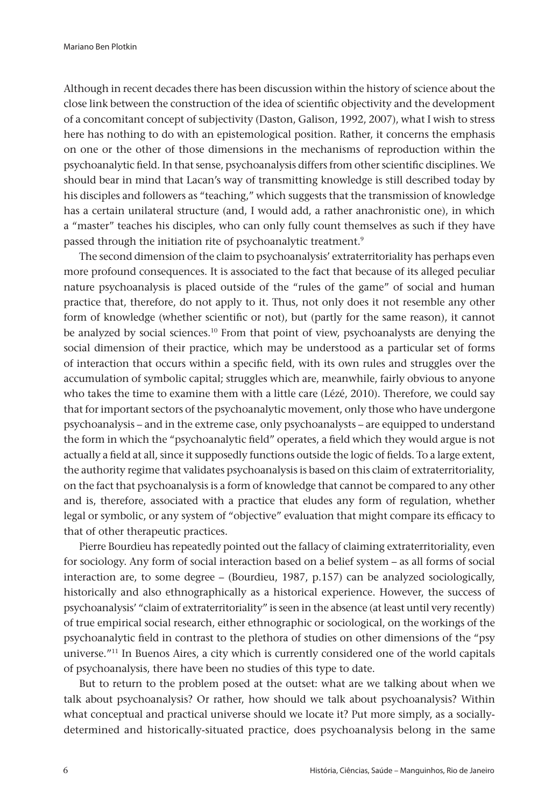Although in recent decades there has been discussion within the history of science about the close link between the construction of the idea of scientific objectivity and the development of a concomitant concept of subjectivity (Daston, Galison, 1992, 2007), what I wish to stress here has nothing to do with an epistemological position. Rather, it concerns the emphasis on one or the other of those dimensions in the mechanisms of reproduction within the psychoanalytic field. In that sense, psychoanalysis differs from other scientific disciplines. We should bear in mind that Lacan's way of transmitting knowledge is still described today by his disciples and followers as "teaching," which suggests that the transmission of knowledge has a certain unilateral structure (and, I would add, a rather anachronistic one), in which a "master" teaches his disciples, who can only fully count themselves as such if they have passed through the initiation rite of psychoanalytic treatment.9

The second dimension of the claim to psychoanalysis' extraterritoriality has perhaps even more profound consequences. It is associated to the fact that because of its alleged peculiar nature psychoanalysis is placed outside of the "rules of the game" of social and human practice that, therefore, do not apply to it. Thus, not only does it not resemble any other form of knowledge (whether scientific or not), but (partly for the same reason), it cannot be analyzed by social sciences.10 From that point of view, psychoanalysts are denying the social dimension of their practice, which may be understood as a particular set of forms of interaction that occurs within a specific field, with its own rules and struggles over the accumulation of symbolic capital; struggles which are, meanwhile, fairly obvious to anyone who takes the time to examine them with a little care (Lézé, 2010). Therefore, we could say that for important sectors of the psychoanalytic movement, only those who have undergone psychoanalysis – and in the extreme case, only psychoanalysts – are equipped to understand the form in which the "psychoanalytic field" operates, a field which they would argue is not actually a field at all, since it supposedly functions outside the logic of fields. To a large extent, the authority regime that validates psychoanalysis is based on this claim of extraterritoriality, on the fact that psychoanalysis is a form of knowledge that cannot be compared to any other and is, therefore, associated with a practice that eludes any form of regulation, whether legal or symbolic, or any system of "objective" evaluation that might compare its efficacy to that of other therapeutic practices.

Pierre Bourdieu has repeatedly pointed out the fallacy of claiming extraterritoriality, even for sociology. Any form of social interaction based on a belief system – as all forms of social interaction are, to some degree – (Bourdieu, 1987, p.157) can be analyzed sociologically, historically and also ethnographically as a historical experience. However, the success of psychoanalysis' "claim of extraterritoriality" is seen in the absence (at least until very recently) of true empirical social research, either ethnographic or sociological, on the workings of the psychoanalytic field in contrast to the plethora of studies on other dimensions of the "psy universe."11 In Buenos Aires, a city which is currently considered one of the world capitals of psychoanalysis, there have been no studies of this type to date.

But to return to the problem posed at the outset: what are we talking about when we talk about psychoanalysis? Or rather, how should we talk about psychoanalysis? Within what conceptual and practical universe should we locate it? Put more simply, as a sociallydetermined and historically-situated practice, does psychoanalysis belong in the same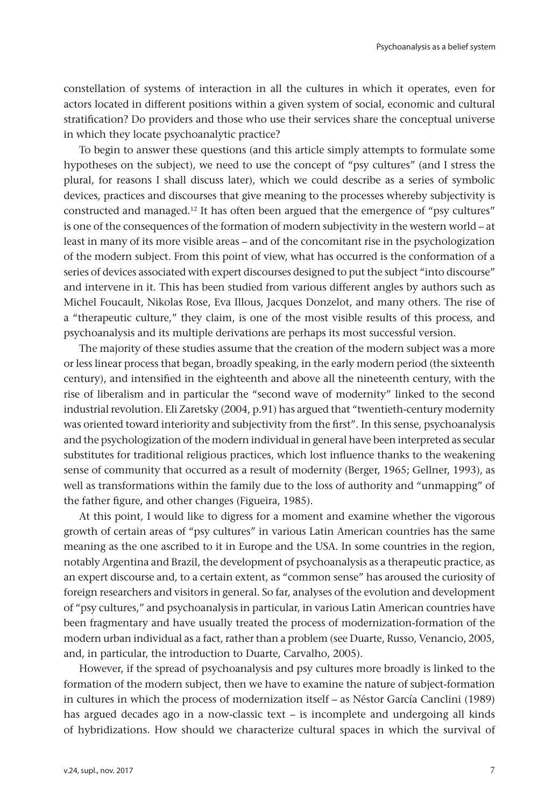constellation of systems of interaction in all the cultures in which it operates, even for actors located in different positions within a given system of social, economic and cultural stratification? Do providers and those who use their services share the conceptual universe in which they locate psychoanalytic practice?

To begin to answer these questions (and this article simply attempts to formulate some hypotheses on the subject), we need to use the concept of "psy cultures" (and I stress the plural, for reasons I shall discuss later), which we could describe as a series of symbolic devices, practices and discourses that give meaning to the processes whereby subjectivity is constructed and managed.12 It has often been argued that the emergence of "psy cultures" is one of the consequences of the formation of modern subjectivity in the western world – at least in many of its more visible areas – and of the concomitant rise in the psychologization of the modern subject. From this point of view, what has occurred is the conformation of a series of devices associated with expert discourses designed to put the subject "into discourse" and intervene in it. This has been studied from various different angles by authors such as Michel Foucault, Nikolas Rose, Eva Illous, Jacques Donzelot, and many others. The rise of a "therapeutic culture," they claim, is one of the most visible results of this process, and psychoanalysis and its multiple derivations are perhaps its most successful version.

The majority of these studies assume that the creation of the modern subject was a more or less linear process that began, broadly speaking, in the early modern period (the sixteenth century), and intensified in the eighteenth and above all the nineteenth century, with the rise of liberalism and in particular the "second wave of modernity" linked to the second industrial revolution. Eli Zaretsky (2004, p.91) has argued that "twentieth-century modernity was oriented toward interiority and subjectivity from the first". In this sense, psychoanalysis and the psychologization of the modern individual in general have been interpreted as secular substitutes for traditional religious practices, which lost influence thanks to the weakening sense of community that occurred as a result of modernity (Berger, 1965; Gellner, 1993), as well as transformations within the family due to the loss of authority and "unmapping" of the father figure, and other changes (Figueira, 1985).

At this point, I would like to digress for a moment and examine whether the vigorous growth of certain areas of "psy cultures" in various Latin American countries has the same meaning as the one ascribed to it in Europe and the USA. In some countries in the region, notably Argentina and Brazil, the development of psychoanalysis as a therapeutic practice, as an expert discourse and, to a certain extent, as "common sense" has aroused the curiosity of foreign researchers and visitors in general. So far, analyses of the evolution and development of "psy cultures," and psychoanalysis in particular, in various Latin American countries have been fragmentary and have usually treated the process of modernization-formation of the modern urban individual as a fact, rather than a problem (see Duarte, Russo, Venancio, 2005, and, in particular, the introduction to Duarte, Carvalho, 2005).

However, if the spread of psychoanalysis and psy cultures more broadly is linked to the formation of the modern subject, then we have to examine the nature of subject-formation in cultures in which the process of modernization itself – as Néstor García Canclini (1989) has argued decades ago in a now-classic text – is incomplete and undergoing all kinds of hybridizations. How should we characterize cultural spaces in which the survival of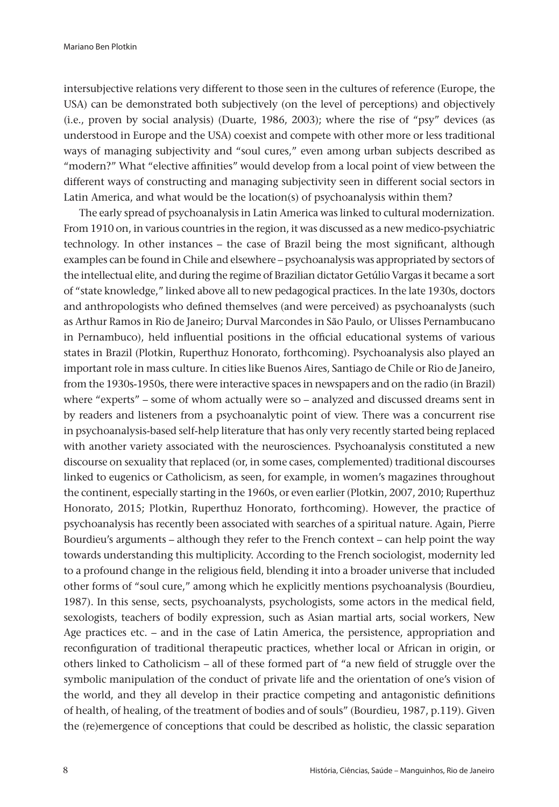intersubjective relations very different to those seen in the cultures of reference (Europe, the USA) can be demonstrated both subjectively (on the level of perceptions) and objectively (i.e., proven by social analysis) (Duarte, 1986, 2003); where the rise of "psy" devices (as understood in Europe and the USA) coexist and compete with other more or less traditional ways of managing subjectivity and "soul cures," even among urban subjects described as "modern?" What "elective affinities" would develop from a local point of view between the different ways of constructing and managing subjectivity seen in different social sectors in Latin America, and what would be the location(s) of psychoanalysis within them?

The early spread of psychoanalysis in Latin America was linked to cultural modernization. From 1910 on, in various countries in the region, it was discussed as a new medico-psychiatric technology. In other instances – the case of Brazil being the most significant, although examples can be found in Chile and elsewhere – psychoanalysis was appropriated by sectors of the intellectual elite, and during the regime of Brazilian dictator Getúlio Vargas it became a sort of "state knowledge," linked above all to new pedagogical practices. In the late 1930s, doctors and anthropologists who defined themselves (and were perceived) as psychoanalysts (such as Arthur Ramos in Rio de Janeiro; Durval Marcondes in São Paulo, or Ulisses Pernambucano in Pernambuco), held influential positions in the official educational systems of various states in Brazil (Plotkin, Ruperthuz Honorato, forthcoming). Psychoanalysis also played an important role in mass culture. In cities like Buenos Aires, Santiago de Chile or Rio de Janeiro, from the 1930s-1950s, there were interactive spaces in newspapers and on the radio (in Brazil) where "experts" – some of whom actually were so – analyzed and discussed dreams sent in by readers and listeners from a psychoanalytic point of view. There was a concurrent rise in psychoanalysis-based self-help literature that has only very recently started being replaced with another variety associated with the neurosciences. Psychoanalysis constituted a new discourse on sexuality that replaced (or, in some cases, complemented) traditional discourses linked to eugenics or Catholicism, as seen, for example, in women's magazines throughout the continent, especially starting in the 1960s, or even earlier (Plotkin, 2007, 2010; Ruperthuz Honorato, 2015; Plotkin, Ruperthuz Honorato, forthcoming). However, the practice of psychoanalysis has recently been associated with searches of a spiritual nature. Again, Pierre Bourdieu's arguments – although they refer to the French context – can help point the way towards understanding this multiplicity. According to the French sociologist, modernity led to a profound change in the religious field, blending it into a broader universe that included other forms of "soul cure," among which he explicitly mentions psychoanalysis (Bourdieu, 1987). In this sense, sects, psychoanalysts, psychologists, some actors in the medical field, sexologists, teachers of bodily expression, such as Asian martial arts, social workers, New Age practices etc. – and in the case of Latin America, the persistence, appropriation and reconfiguration of traditional therapeutic practices, whether local or African in origin, or others linked to Catholicism – all of these formed part of "a new field of struggle over the symbolic manipulation of the conduct of private life and the orientation of one's vision of the world, and they all develop in their practice competing and antagonistic definitions of health, of healing, of the treatment of bodies and of souls" (Bourdieu, 1987, p.119). Given the (re)emergence of conceptions that could be described as holistic, the classic separation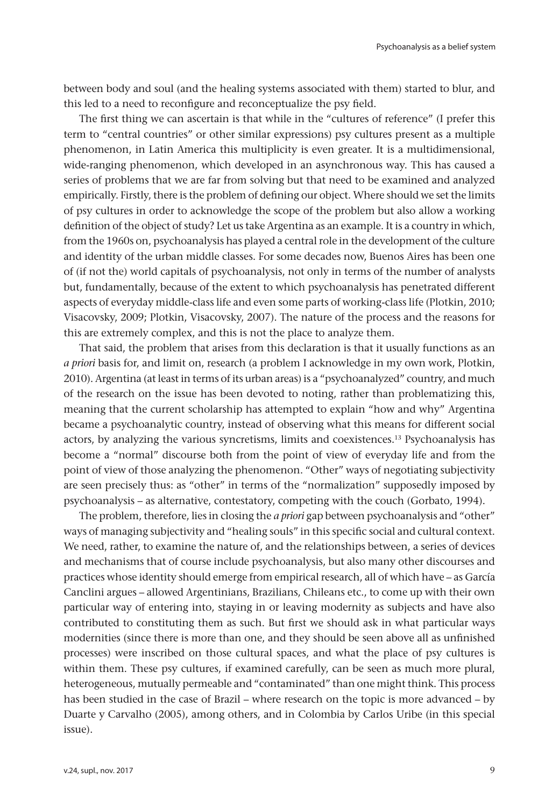between body and soul (and the healing systems associated with them) started to blur, and this led to a need to reconfigure and reconceptualize the psy field.

The first thing we can ascertain is that while in the "cultures of reference" (I prefer this term to "central countries" or other similar expressions) psy cultures present as a multiple phenomenon, in Latin America this multiplicity is even greater. It is a multidimensional, wide-ranging phenomenon, which developed in an asynchronous way. This has caused a series of problems that we are far from solving but that need to be examined and analyzed empirically. Firstly, there is the problem of defining our object. Where should we set the limits of psy cultures in order to acknowledge the scope of the problem but also allow a working definition of the object of study? Let us take Argentina as an example. It is a country in which, from the 1960s on, psychoanalysis has played a central role in the development of the culture and identity of the urban middle classes. For some decades now, Buenos Aires has been one of (if not the) world capitals of psychoanalysis, not only in terms of the number of analysts but, fundamentally, because of the extent to which psychoanalysis has penetrated different aspects of everyday middle-class life and even some parts of working-class life (Plotkin, 2010; Visacovsky, 2009; Plotkin, Visacovsky, 2007). The nature of the process and the reasons for this are extremely complex, and this is not the place to analyze them.

That said, the problem that arises from this declaration is that it usually functions as an *a priori* basis for, and limit on, research (a problem I acknowledge in my own work, Plotkin, 2010). Argentina (at least in terms of its urban areas) is a "psychoanalyzed" country, and much of the research on the issue has been devoted to noting, rather than problematizing this, meaning that the current scholarship has attempted to explain "how and why" Argentina became a psychoanalytic country, instead of observing what this means for different social actors, by analyzing the various syncretisms, limits and coexistences.13 Psychoanalysis has become a "normal" discourse both from the point of view of everyday life and from the point of view of those analyzing the phenomenon. "Other" ways of negotiating subjectivity are seen precisely thus: as "other" in terms of the "normalization" supposedly imposed by psychoanalysis – as alternative, contestatory, competing with the couch (Gorbato, 1994).

The problem, therefore, lies in closing the *a priori* gap between psychoanalysis and "other" ways of managing subjectivity and "healing souls" in this specific social and cultural context. We need, rather, to examine the nature of, and the relationships between, a series of devices and mechanisms that of course include psychoanalysis, but also many other discourses and practices whose identity should emerge from empirical research, all of which have – as García Canclini argues – allowed Argentinians, Brazilians, Chileans etc., to come up with their own particular way of entering into, staying in or leaving modernity as subjects and have also contributed to constituting them as such. But first we should ask in what particular ways modernities (since there is more than one, and they should be seen above all as unfinished processes) were inscribed on those cultural spaces, and what the place of psy cultures is within them. These psy cultures, if examined carefully, can be seen as much more plural, heterogeneous, mutually permeable and "contaminated" than one might think. This process has been studied in the case of Brazil – where research on the topic is more advanced – by Duarte y Carvalho (2005), among others, and in Colombia by Carlos Uribe (in this special issue).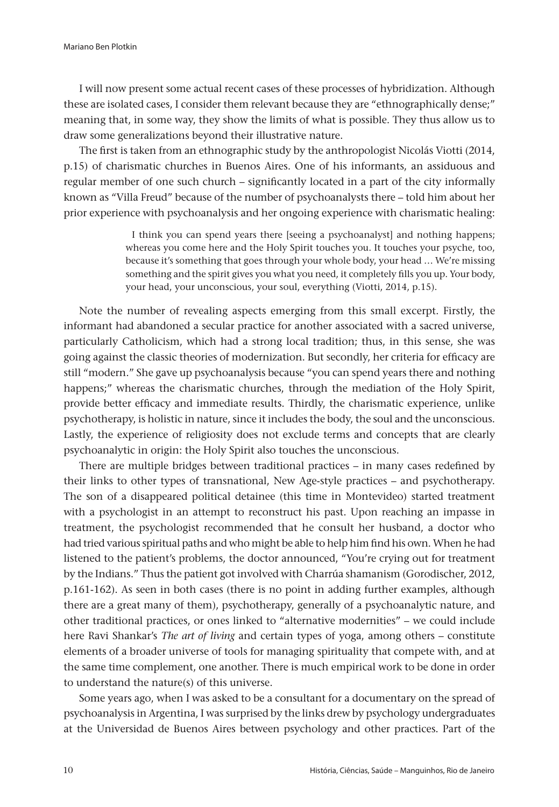I will now present some actual recent cases of these processes of hybridization. Although these are isolated cases, I consider them relevant because they are "ethnographically dense;" meaning that, in some way, they show the limits of what is possible. They thus allow us to draw some generalizations beyond their illustrative nature.

The first is taken from an ethnographic study by the anthropologist Nicolás Viotti (2014, p.15) of charismatic churches in Buenos Aires. One of his informants, an assiduous and regular member of one such church – significantly located in a part of the city informally known as "Villa Freud" because of the number of psychoanalysts there – told him about her prior experience with psychoanalysis and her ongoing experience with charismatic healing:

> I think you can spend years there [seeing a psychoanalyst] and nothing happens; whereas you come here and the Holy Spirit touches you. It touches your psyche, too, because it's something that goes through your whole body, your head … We're missing something and the spirit gives you what you need, it completely fills you up. Your body, your head, your unconscious, your soul, everything (Viotti, 2014, p.15).

Note the number of revealing aspects emerging from this small excerpt. Firstly, the informant had abandoned a secular practice for another associated with a sacred universe, particularly Catholicism, which had a strong local tradition; thus, in this sense, she was going against the classic theories of modernization. But secondly, her criteria for efficacy are still "modern." She gave up psychoanalysis because "you can spend years there and nothing happens;" whereas the charismatic churches, through the mediation of the Holy Spirit, provide better efficacy and immediate results. Thirdly, the charismatic experience, unlike psychotherapy, is holistic in nature, since it includes the body, the soul and the unconscious. Lastly, the experience of religiosity does not exclude terms and concepts that are clearly psychoanalytic in origin: the Holy Spirit also touches the unconscious.

There are multiple bridges between traditional practices – in many cases redefined by their links to other types of transnational, New Age-style practices – and psychotherapy. The son of a disappeared political detainee (this time in Montevideo) started treatment with a psychologist in an attempt to reconstruct his past. Upon reaching an impasse in treatment, the psychologist recommended that he consult her husband, a doctor who had tried various spiritual paths and who might be able to help him find his own. When he had listened to the patient's problems, the doctor announced, "You're crying out for treatment by the Indians." Thus the patient got involved with Charrúa shamanism (Gorodischer, 2012, p.161-162). As seen in both cases (there is no point in adding further examples, although there are a great many of them), psychotherapy, generally of a psychoanalytic nature, and other traditional practices, or ones linked to "alternative modernities" – we could include here Ravi Shankar's *The art of living* and certain types of yoga, among others – constitute elements of a broader universe of tools for managing spirituality that compete with, and at the same time complement, one another. There is much empirical work to be done in order to understand the nature(s) of this universe.

Some years ago, when I was asked to be a consultant for a documentary on the spread of psychoanalysis in Argentina, I was surprised by the links drew by psychology undergraduates at the Universidad de Buenos Aires between psychology and other practices. Part of the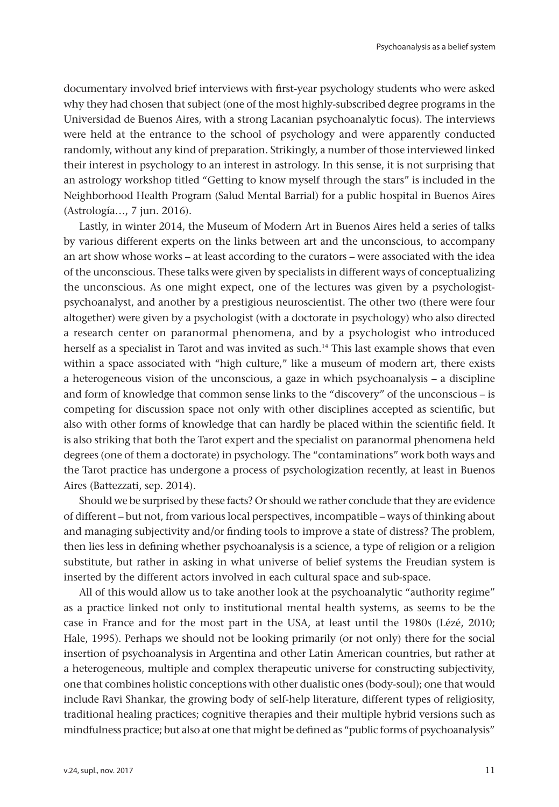documentary involved brief interviews with first-year psychology students who were asked why they had chosen that subject (one of the most highly-subscribed degree programs in the Universidad de Buenos Aires, with a strong Lacanian psychoanalytic focus). The interviews were held at the entrance to the school of psychology and were apparently conducted randomly, without any kind of preparation. Strikingly, a number of those interviewed linked their interest in psychology to an interest in astrology. In this sense, it is not surprising that an astrology workshop titled "Getting to know myself through the stars" is included in the Neighborhood Health Program (Salud Mental Barrial) for a public hospital in Buenos Aires (Astrología…, 7 jun. 2016).

Lastly, in winter 2014, the Museum of Modern Art in Buenos Aires held a series of talks by various different experts on the links between art and the unconscious, to accompany an art show whose works – at least according to the curators – were associated with the idea of the unconscious. These talks were given by specialists in different ways of conceptualizing the unconscious. As one might expect, one of the lectures was given by a psychologistpsychoanalyst, and another by a prestigious neuroscientist. The other two (there were four altogether) were given by a psychologist (with a doctorate in psychology) who also directed a research center on paranormal phenomena, and by a psychologist who introduced herself as a specialist in Tarot and was invited as such.<sup>14</sup> This last example shows that even within a space associated with "high culture," like a museum of modern art, there exists a heterogeneous vision of the unconscious, a gaze in which psychoanalysis – a discipline and form of knowledge that common sense links to the "discovery" of the unconscious – is competing for discussion space not only with other disciplines accepted as scientific, but also with other forms of knowledge that can hardly be placed within the scientific field. It is also striking that both the Tarot expert and the specialist on paranormal phenomena held degrees (one of them a doctorate) in psychology. The "contaminations" work both ways and the Tarot practice has undergone a process of psychologization recently, at least in Buenos Aires (Battezzati, sep. 2014).

Should we be surprised by these facts? Or should we rather conclude that they are evidence of different – but not, from various local perspectives, incompatible – ways of thinking about and managing subjectivity and/or finding tools to improve a state of distress? The problem, then lies less in defining whether psychoanalysis is a science, a type of religion or a religion substitute, but rather in asking in what universe of belief systems the Freudian system is inserted by the different actors involved in each cultural space and sub-space.

All of this would allow us to take another look at the psychoanalytic "authority regime" as a practice linked not only to institutional mental health systems, as seems to be the case in France and for the most part in the USA, at least until the 1980s (Lézé, 2010; Hale, 1995). Perhaps we should not be looking primarily (or not only) there for the social insertion of psychoanalysis in Argentina and other Latin American countries, but rather at a heterogeneous, multiple and complex therapeutic universe for constructing subjectivity, one that combines holistic conceptions with other dualistic ones (body-soul); one that would include Ravi Shankar, the growing body of self-help literature, different types of religiosity, traditional healing practices; cognitive therapies and their multiple hybrid versions such as mindfulness practice; but also at one that might be defined as "public forms of psychoanalysis"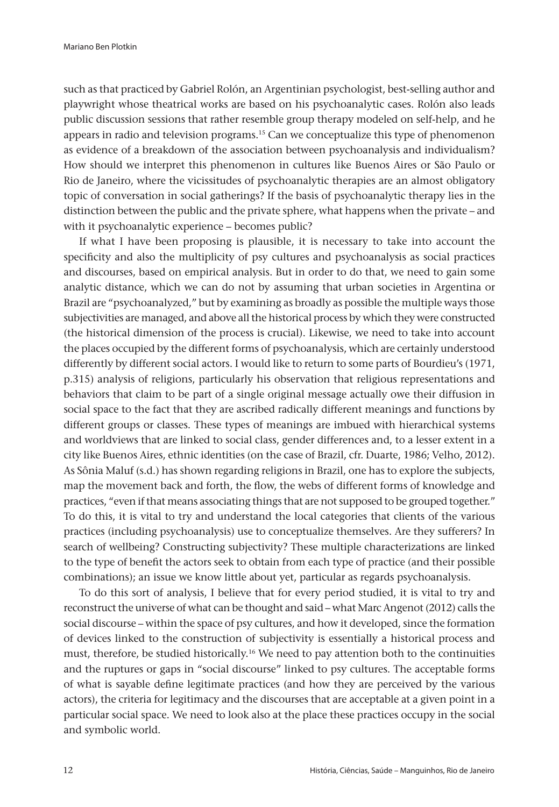such as that practiced by Gabriel Rolón, an Argentinian psychologist, best-selling author and playwright whose theatrical works are based on his psychoanalytic cases. Rolón also leads public discussion sessions that rather resemble group therapy modeled on self-help, and he appears in radio and television programs.15 Can we conceptualize this type of phenomenon as evidence of a breakdown of the association between psychoanalysis and individualism? How should we interpret this phenomenon in cultures like Buenos Aires or São Paulo or Rio de Janeiro, where the vicissitudes of psychoanalytic therapies are an almost obligatory topic of conversation in social gatherings? If the basis of psychoanalytic therapy lies in the distinction between the public and the private sphere, what happens when the private – and with it psychoanalytic experience – becomes public?

If what I have been proposing is plausible, it is necessary to take into account the specificity and also the multiplicity of psy cultures and psychoanalysis as social practices and discourses, based on empirical analysis. But in order to do that, we need to gain some analytic distance, which we can do not by assuming that urban societies in Argentina or Brazil are "psychoanalyzed," but by examining as broadly as possible the multiple ways those subjectivities are managed, and above all the historical process by which they were constructed (the historical dimension of the process is crucial). Likewise, we need to take into account the places occupied by the different forms of psychoanalysis, which are certainly understood differently by different social actors. I would like to return to some parts of Bourdieu's (1971, p.315) analysis of religions, particularly his observation that religious representations and behaviors that claim to be part of a single original message actually owe their diffusion in social space to the fact that they are ascribed radically different meanings and functions by different groups or classes. These types of meanings are imbued with hierarchical systems and worldviews that are linked to social class, gender differences and, to a lesser extent in a city like Buenos Aires, ethnic identities (on the case of Brazil, cfr. Duarte, 1986; Velho, 2012). As Sônia Maluf (s.d.) has shown regarding religions in Brazil, one has to explore the subjects, map the movement back and forth, the flow, the webs of different forms of knowledge and practices, "even if that means associating things that are not supposed to be grouped together." To do this, it is vital to try and understand the local categories that clients of the various practices (including psychoanalysis) use to conceptualize themselves. Are they sufferers? In search of wellbeing? Constructing subjectivity? These multiple characterizations are linked to the type of benefit the actors seek to obtain from each type of practice (and their possible combinations); an issue we know little about yet, particular as regards psychoanalysis.

To do this sort of analysis, I believe that for every period studied, it is vital to try and reconstruct the universe of what can be thought and said – what Marc Angenot (2012) calls the social discourse – within the space of psy cultures, and how it developed, since the formation of devices linked to the construction of subjectivity is essentially a historical process and must, therefore, be studied historically.16 We need to pay attention both to the continuities and the ruptures or gaps in "social discourse" linked to psy cultures. The acceptable forms of what is sayable define legitimate practices (and how they are perceived by the various actors), the criteria for legitimacy and the discourses that are acceptable at a given point in a particular social space. We need to look also at the place these practices occupy in the social and symbolic world.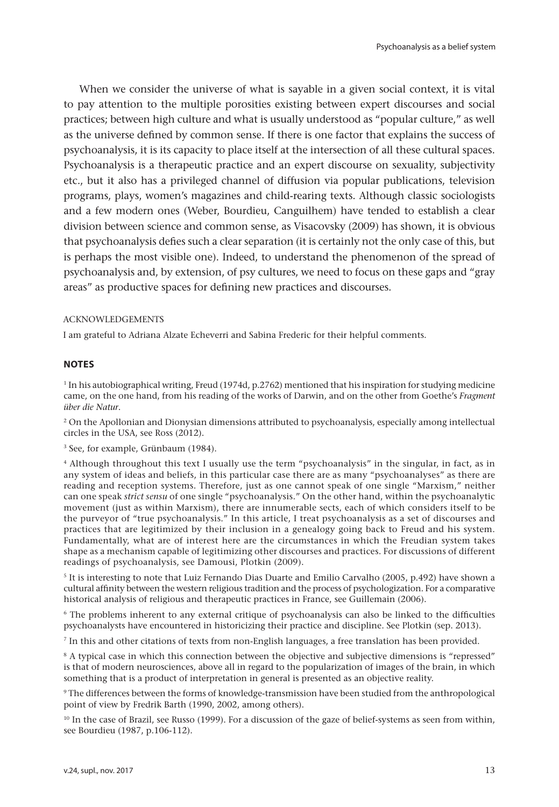When we consider the universe of what is sayable in a given social context, it is vital to pay attention to the multiple porosities existing between expert discourses and social practices; between high culture and what is usually understood as "popular culture," as well as the universe defined by common sense. If there is one factor that explains the success of psychoanalysis, it is its capacity to place itself at the intersection of all these cultural spaces. Psychoanalysis is a therapeutic practice and an expert discourse on sexuality, subjectivity etc., but it also has a privileged channel of diffusion via popular publications, television programs, plays, women's magazines and child-rearing texts. Although classic sociologists and a few modern ones (Weber, Bourdieu, Canguilhem) have tended to establish a clear division between science and common sense, as Visacovsky (2009) has shown, it is obvious that psychoanalysis defies such a clear separation (it is certainly not the only case of this, but is perhaps the most visible one). Indeed, to understand the phenomenon of the spread of psychoanalysis and, by extension, of psy cultures, we need to focus on these gaps and "gray areas" as productive spaces for defining new practices and discourses.

## ACKNOWLEDGEMENTS

I am grateful to Adriana Alzate Echeverri and Sabina Frederic for their helpful comments.

#### **NOTES**

1 In his autobiographical writing, Freud (1974d, p.2762) mentioned that his inspiration for studying medicine came, on the one hand, from his reading of the works of Darwin, and on the other from Goethe's *Fragment über die Natur*.

2 On the Apollonian and Dionysian dimensions attributed to psychoanalysis, especially among intellectual circles in the USA, see Ross (2012).

<sup>3</sup> See, for example, Grünbaum (1984).

4 Although throughout this text I usually use the term "psychoanalysis" in the singular, in fact, as in any system of ideas and beliefs, in this particular case there are as many "psychoanalyses" as there are reading and reception systems. Therefore, just as one cannot speak of one single "Marxism," neither can one speak *strict sensu* of one single "psychoanalysis." On the other hand, within the psychoanalytic movement (just as within Marxism), there are innumerable sects, each of which considers itself to be the purveyor of "true psychoanalysis." In this article, I treat psychoanalysis as a set of discourses and practices that are legitimized by their inclusion in a genealogy going back to Freud and his system. Fundamentally, what are of interest here are the circumstances in which the Freudian system takes shape as a mechanism capable of legitimizing other discourses and practices. For discussions of different readings of psychoanalysis, see Damousi, Plotkin (2009).

5 It is interesting to note that Luiz Fernando Dias Duarte and Emilio Carvalho (2005, p.492) have shown a cultural affinity between the western religious tradition and the process of psychologization. For a comparative historical analysis of religious and therapeutic practices in France, see Guillemain (2006).

6 The problems inherent to any external critique of psychoanalysis can also be linked to the difficulties psychoanalysts have encountered in historicizing their practice and discipline. See Plotkin (sep. 2013).

7 In this and other citations of texts from non-English languages, a free translation has been provided.

8 A typical case in which this connection between the objective and subjective dimensions is "repressed" is that of modern neurosciences, above all in regard to the popularization of images of the brain, in which something that is a product of interpretation in general is presented as an objective reality.

9 The differences between the forms of knowledge-transmission have been studied from the anthropological point of view by Fredrik Barth (1990, 2002, among others).

<sup>10</sup> In the case of Brazil, see Russo (1999). For a discussion of the gaze of belief-systems as seen from within, see Bourdieu (1987, p.106-112).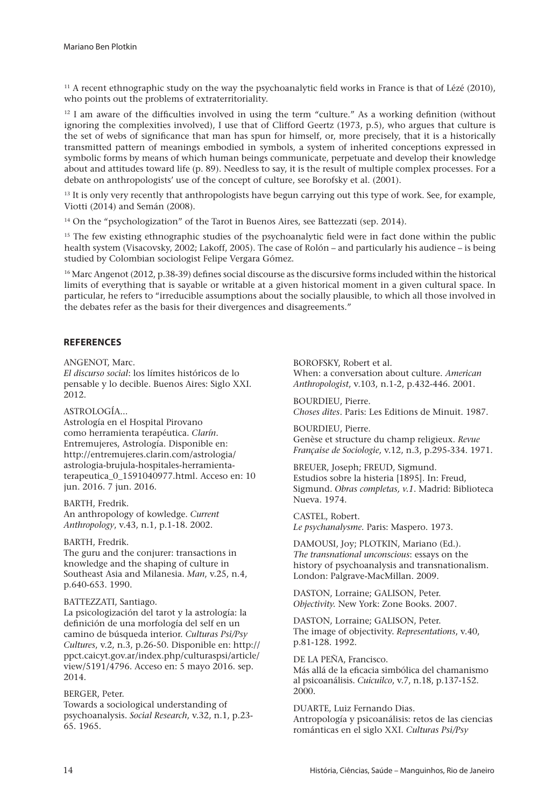<sup>11</sup> A recent ethnographic study on the way the psychoanalytic field works in France is that of Lézé (2010), who points out the problems of extraterritoriality.

<sup>12</sup> I am aware of the difficulties involved in using the term "culture." As a working definition (without ignoring the complexities involved), I use that of Clifford Geertz (1973, p.5), who argues that culture is the set of webs of significance that man has spun for himself, or, more precisely, that it is a historically transmitted pattern of meanings embodied in symbols, a system of inherited conceptions expressed in symbolic forms by means of which human beings communicate, perpetuate and develop their knowledge about and attitudes toward life (p. 89). Needless to say, it is the result of multiple complex processes. For a debate on anthropologists' use of the concept of culture, see Borofsky et al. (2001).

<sup>13</sup> It is only very recently that anthropologists have begun carrying out this type of work. See, for example, Viotti (2014) and Semán (2008).

<sup>14</sup> On the "psychologization" of the Tarot in Buenos Aires, see Battezzati (sep. 2014).

 $15$  The few existing ethnographic studies of the psychoanalytic field were in fact done within the public health system (Visacovsky, 2002; Lakoff, 2005). The case of Rolón – and particularly his audience – is being studied by Colombian sociologist Felipe Vergara Gómez.

16 Marc Angenot (2012, p.38-39) defines social discourse as the discursive forms included within the historical limits of everything that is sayable or writable at a given historical moment in a given cultural space. In particular, he refers to "irreducible assumptions about the socially plausible, to which all those involved in the debates refer as the basis for their divergences and disagreements."

## **REFERENCES**

#### ANGENOT, Marc.

*El discurso social*: los límites históricos de lo pensable y lo decible. Buenos Aires: Siglo XXI. 2012.

#### ASTROLOGÍA...

Astrología en el Hospital Pirovano como herramienta terapéutica. *Clarín*. Entremujeres, Astrología. Disponible en: http://entremujeres.clarin.com/astrologia/ astrologia-brujula-hospitales-herramientaterapeutica\_0\_1591040977.html. Acceso en: 10 jun. 2016. 7 jun. 2016.

## BARTH, Fredrik.

An anthropology of kowledge. *Current Anthropology*, v.43, n.1, p.1-18. 2002.

#### BARTH, Fredrik.

The guru and the conjurer: transactions in knowledge and the shaping of culture in Southeast Asia and Milanesia. *Man*, v.25, n.4, p.640-653. 1990.

#### BATTEZZATI, Santiago.

La psicologización del tarot y la astrología: la definición de una morfología del self en un camino de búsqueda interior. *Culturas Psi/Psy Cultures*, v.2, n.3, p.26-50. Disponible en: http:// ppct.caicyt.gov.ar/index.php/culturaspsi/article/ view/5191/4796. Acceso en: 5 mayo 2016. sep. 2014.

BERGER, Peter. Towards a sociological understanding of psychoanalysis. *Social Research*, v.32, n.1, p.23- 65. 1965.

BOROFSKY, Robert et al. When: a conversation about culture. *American Anthropologist*, v.103, n.1-2, p.432-446. 2001.

BOURDIEU, Pierre. *Choses dites*. Paris: Les Editions de Minuit. 1987.

BOURDIEU, Pierre. Genèse et structure du champ religieux. *Revue Française de Sociologie*, v.12, n.3, p.295-334. 1971.

BREUER, Joseph; FREUD, Sigmund. Estudios sobre la histeria [1895]. In: Freud, Sigmund. *Obras completas, v.1*. Madrid: Biblioteca Nueva. 1974.

CASTEL, Robert. *Le psychanalysme.* Paris: Maspero. 1973.

DAMOUSI, Joy; PLOTKIN, Mariano (Ed.). *The transnational unconscious*: essays on the history of psychoanalysis and transnationalism. London: Palgrave-MacMillan. 2009.

DASTON, Lorraine; GALISON, Peter. *Objectivity.* New York: Zone Books. 2007.

DASTON, Lorraine; GALISON, Peter. The image of objectivity. *Representations*, v.40, p.81-128. 1992.

DE LA PEÑA, Francisco. Más allá de la eficacia simbólica del chamanismo al psicoanálisis. *Cuicuilco*, v.7, n.18, p.137-152. 2000.

DUARTE, Luiz Fernando Dias. Antropología y psicoanálisis: retos de las ciencias románticas en el siglo XXI. *Culturas Psi/Psy*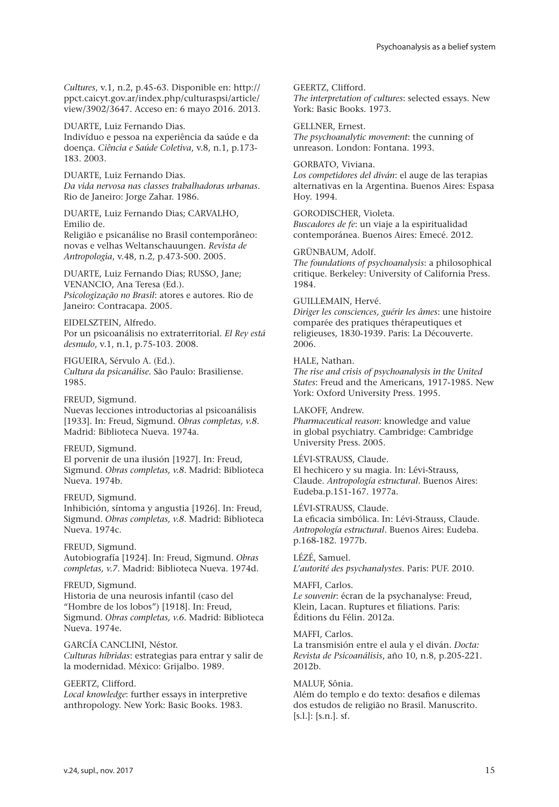*Cultures*, v.1, n.2, p.45-63. Disponible en: http:// ppct.caicyt.gov.ar/index.php/culturaspsi/article/ view/3902/3647. Acceso en: 6 mayo 2016. 2013.

DUARTE, Luiz Fernando Dias. Indivíduo e pessoa na experiência da saúde e da doença. *Ciência e Saúde Coletiva*, v.8, n.1, p.173- 183. 2003.

DUARTE, Luiz Fernando Dias. *Da vida nervosa nas classes trabalhadoras urbanas*. Rio de Janeiro: Jorge Zahar. 1986.

DUARTE, Luiz Fernando Dias; CARVALHO, Emilio de. Religião e psicanálise no Brasil contemporâneo: novas e velhas Weltanschauungen*. Revista de* 

*Antropologia*, v.48, n.2, p.473-500. 2005.

DUARTE, Luiz Fernando Dias; RUSSO, Jane; VENANCIO, Ana Teresa (Ed.). *Psicologização no Brasil*: atores e autores. Rio de Janeiro: Contracapa. 2005.

#### EIDELSZTEIN, Alfredo.

Por un psicoanálisis no extraterritorial. *El Rey está desnudo*, v.1, n.1, p.75-103. 2008.

FIGUEIRA, Sérvulo A. (Ed.). *Cultura da psicanálise*. São Paulo: Brasiliense. 1985.

FREUD, Sigmund. Nuevas lecciones introductorias al psicoanálisis [1933]. In: Freud, Sigmund. *Obras completas, v.8*. Madrid: Biblioteca Nueva. 1974a.

#### FREUD, Sigmund.

El porvenir de una ilusión [1927]. In: Freud, Sigmund. *Obras completas, v.8*. Madrid: Biblioteca Nueva. 1974b.

#### FREUD, Sigmund.

Inhibición, síntoma y angustia [1926]. In: Freud, Sigmund. *Obras completas, v.8*. Madrid: Biblioteca Nueva. 1974c.

FREUD, Sigmund. Autobiografía [1924]. In: Freud, Sigmund. *Obras completas, v.7*. Madrid: Biblioteca Nueva. 1974d.

## FREUD, Sigmund.

Historia de una neurosis infantil (caso del "Hombre de los lobos") [1918]. In: Freud, Sigmund. *Obras completas, v.6*. Madrid: Biblioteca Nueva. 1974e.

GARCÍA CANCLINI, Néstor. *Culturas híbridas*: estrategias para entrar y salir de la modernidad*.* México: Grijalbo. 1989.

## GEERTZ, Clifford.

*Local knowledge*: further essays in interpretive anthropology. New York: Basic Books. 1983.

GEERTZ, Clifford. *The interpretation of cultures*: selected essays. New York: Basic Books. 1973.

GELLNER, Ernest. *The psychoanalytic movement*: the cunning of unreason. London: Fontana. 1993.

GORBATO, Viviana. *Los competidores del diván*: el auge de las terapias alternativas en la Argentina. Buenos Aires: Espasa Hoy. 1994.

GORODISCHER, Violeta. *Buscadores de fe*: un viaje a la espiritualidad contemporánea. Buenos Aires: Emecé. 2012.

## GRÜNBAUM, Adolf.

*The foundations of psychoanalysis*: a philosophical critique. Berkeley: University of California Press. 1984.

## GUILLEMAIN, Hervé.

*Diriger les consciences, guérir les âmes*: une histoire comparée des pratiques thérapeutiques et religieuses, 1830-1939. Paris: La Découverte. 2006.

## HALE, Nathan.

*The rise and crisis of psychoanalysis in the United States*: Freud and the Americans, 1917-1985. New York: Oxford University Press. 1995.

# LAKOFF, Andrew.

*Pharmaceutical reason*: knowledge and value in global psychiatry. Cambridge: Cambridge University Press. 2005.

## LÉVI-STRAUSS, Claude.

El hechicero y su magia. In: Lévi-Strauss, Claude. *Antropología estructural*. Buenos Aires: Eudeba.p.151-167. 1977a.

## LÉVI-STRAUSS, Claude.

La eficacia simbólica. In: Lévi-Strauss, Claude. *Antropología estructural*. Buenos Aires: Eudeba. p.168-182. 1977b.

## LÉZÉ, Samuel.

*L'autorité des psychanalystes*. Paris: PUF. 2010.

## MAFFI, Carlos.

*Le souvenir*: écran de la psychanalyse: Freud, Klein, Lacan. Ruptures et filiations. Paris: Éditions du Félin. 2012a.

## MAFFI, Carlos.

La transmisión entre el aula y el diván. *Docta: Revista de Psicoanálisis*, año 10, n.8, p.205-221. 2012b.

#### MALUF, Sônia.

Além do templo e do texto: desafios e dilemas dos estudos de religião no Brasil. Manuscrito. [s.l.]: [s.n.]. sf.